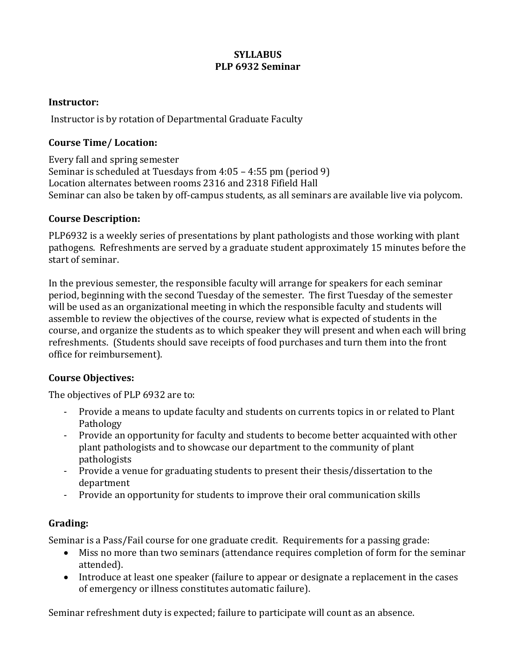### **SYLLABUS PLP 6932 Seminar**

#### **Instructor:**

Instructor is by rotation of Departmental Graduate Faculty

### **Course Time/ Location:**

Every fall and spring semester Seminar is scheduled at Tuesdays from  $4:05 - 4:55$  pm (period 9) Location alternates between rooms 2316 and 2318 Fifield Hall Seminar can also be taken by off-campus students, as all seminars are available live via polycom.

#### **Course Description:**

PLP6932 is a weekly series of presentations by plant pathologists and those working with plant pathogens. Refreshments are served by a graduate student approximately 15 minutes before the start of seminar.

In the previous semester, the responsible faculty will arrange for speakers for each seminar period, beginning with the second Tuesday of the semester. The first Tuesday of the semester will be used as an organizational meeting in which the responsible faculty and students will assemble to review the objectives of the course, review what is expected of students in the course, and organize the students as to which speaker they will present and when each will bring refreshments. (Students should save receipts of food purchases and turn them into the front office for reimbursement).

# **Course Objectives:**

The objectives of PLP 6932 are to:

- Provide a means to update faculty and students on currents topics in or related to Plant Pathology
- Provide an opportunity for faculty and students to become better acquainted with other plant pathologists and to showcase our department to the community of plant pathologists
- Provide a venue for graduating students to present their thesis/dissertation to the department
- Provide an opportunity for students to improve their oral communication skills

# **Grading:**

Seminar is a Pass/Fail course for one graduate credit. Requirements for a passing grade:

- Miss no more than two seminars (attendance requires completion of form for the seminar attended).
- Introduce at least one speaker (failure to appear or designate a replacement in the cases of emergency or illness constitutes automatic failure).

Seminar refreshment duty is expected; failure to participate will count as an absence.